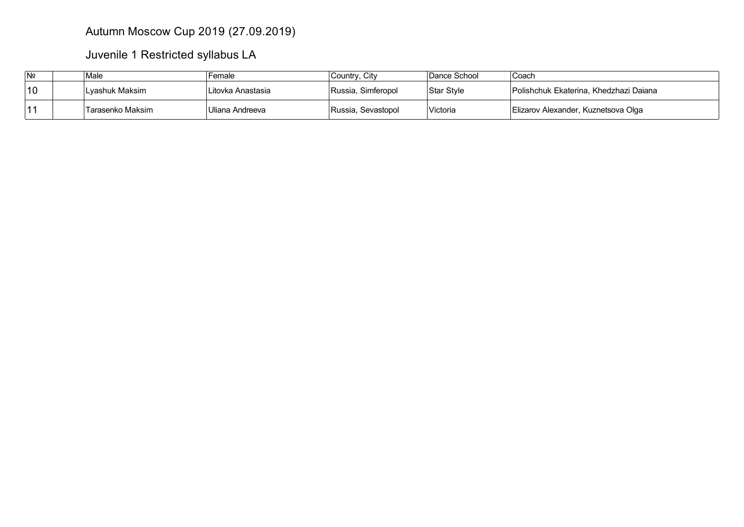## Autumn Moscow Cup 2019 (27.09.2019)

Juvenile 1 Restricted syllabus LA

| N <sub>2</sub> | Male             | Female            | Country, City      | Dance School | ⊺Coach                                        |
|----------------|------------------|-------------------|--------------------|--------------|-----------------------------------------------|
| 10             | ˈLvashuk Maksim  | Litovka Anastasia | Russia, Simferopol | Star Style   | <b>Polishchuk Ekaterina, Khedzhazi Dajana</b> |
| 14             | Tarasenko Maksim | Uliana Andreeva   | Russia, Sevastopol | Victoria     | Elizarov Alexander, Kuznetsova Olga           |